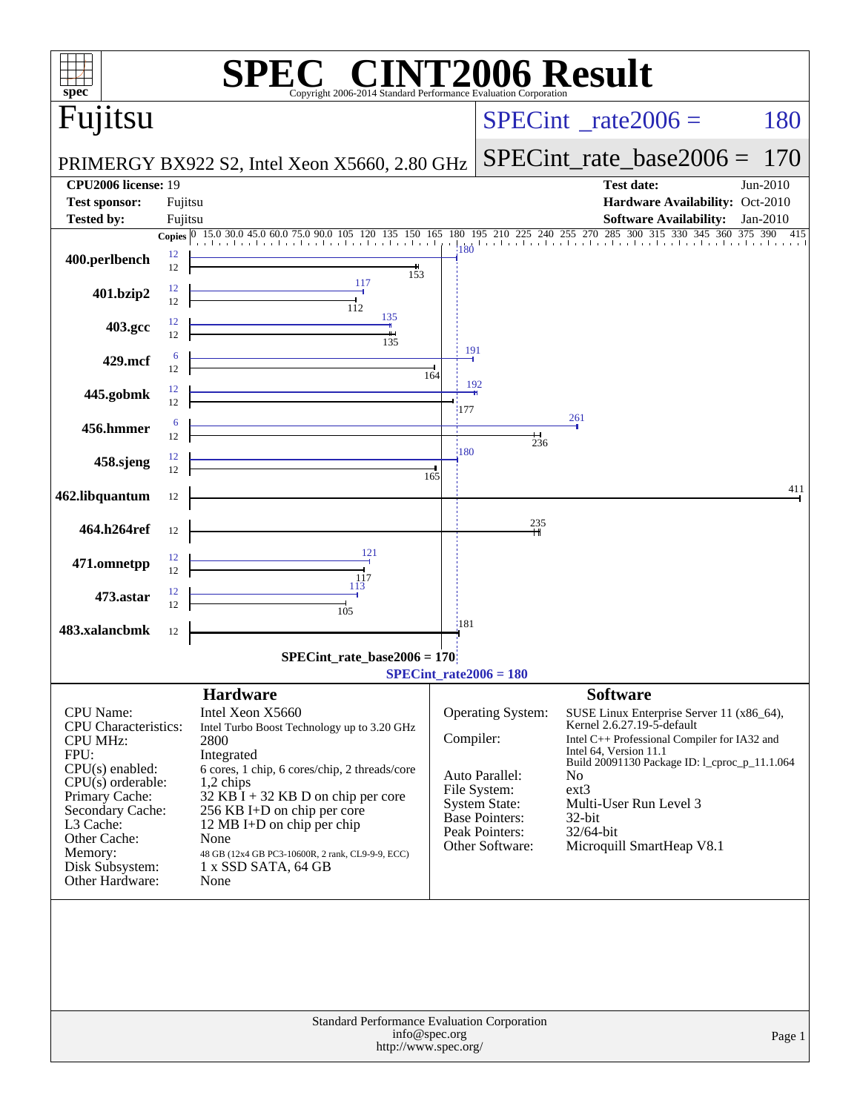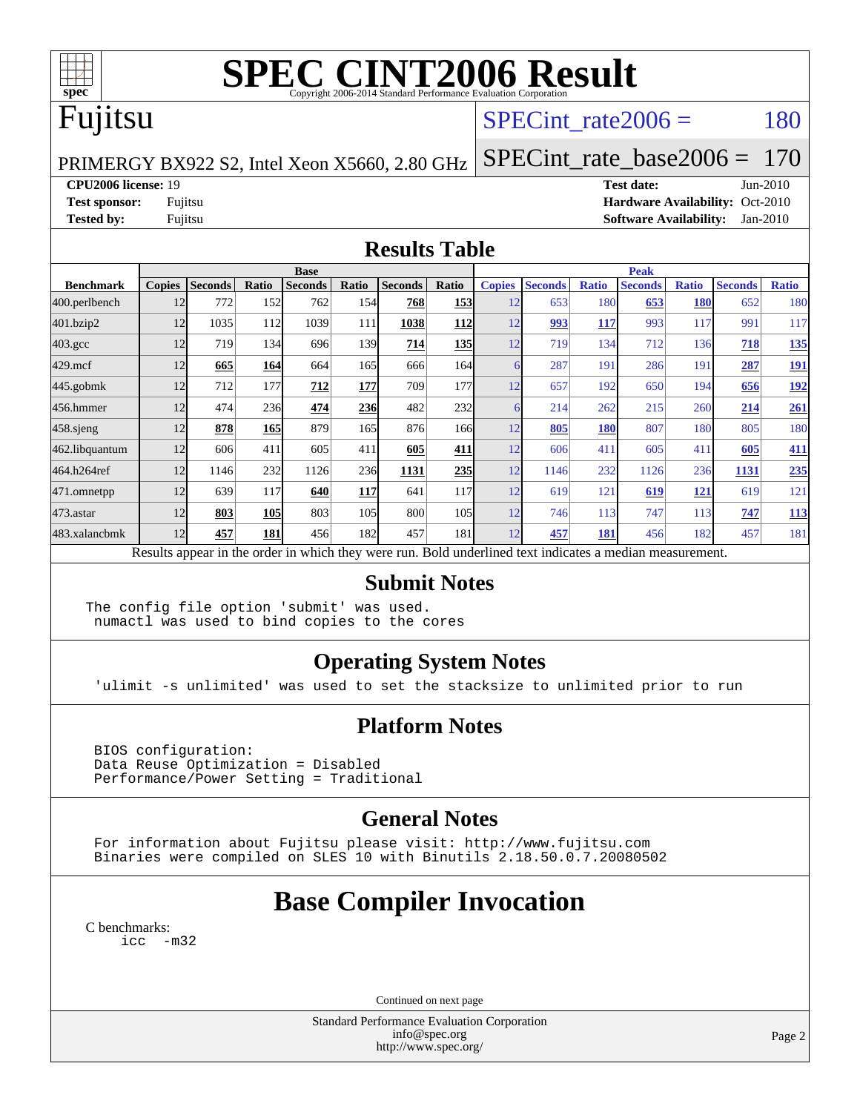

# **[SPEC CINT2006 Result](http://www.spec.org/auto/cpu2006/Docs/result-fields.html#SPECCINT2006Result)**

## Fujitsu

### SPECint rate $2006 = 180$

PRIMERGY BX922 S2, Intel Xeon X5660, 2.80 GHz

[SPECint\\_rate\\_base2006 =](http://www.spec.org/auto/cpu2006/Docs/result-fields.html#SPECintratebase2006) 170

#### **[CPU2006 license:](http://www.spec.org/auto/cpu2006/Docs/result-fields.html#CPU2006license)** 19 **[Test date:](http://www.spec.org/auto/cpu2006/Docs/result-fields.html#Testdate)** Jun-2010

**[Test sponsor:](http://www.spec.org/auto/cpu2006/Docs/result-fields.html#Testsponsor)** Fujitsu **[Hardware Availability:](http://www.spec.org/auto/cpu2006/Docs/result-fields.html#HardwareAvailability)** Oct-2010 **[Tested by:](http://www.spec.org/auto/cpu2006/Docs/result-fields.html#Testedby)** Fujitsu **[Software Availability:](http://www.spec.org/auto/cpu2006/Docs/result-fields.html#SoftwareAvailability)** Jan-2010

#### **[Results Table](http://www.spec.org/auto/cpu2006/Docs/result-fields.html#ResultsTable)**

|                    | <b>Base</b>   |                |            |                                                                                                          |       |                |            |               | <b>Peak</b>    |              |                |              |                |              |  |
|--------------------|---------------|----------------|------------|----------------------------------------------------------------------------------------------------------|-------|----------------|------------|---------------|----------------|--------------|----------------|--------------|----------------|--------------|--|
| <b>Benchmark</b>   | <b>Copies</b> | <b>Seconds</b> | Ratio      | <b>Seconds</b>                                                                                           | Ratio | <b>Seconds</b> | Ratio      | <b>Copies</b> | <b>Seconds</b> | <b>Ratio</b> | <b>Seconds</b> | <b>Ratio</b> | <b>Seconds</b> | <b>Ratio</b> |  |
| 400.perlbench      | 12            | 772            | 152        | 762                                                                                                      | 154   | 768            | 153        | 12            | 653            | 180          | 653            | <b>180</b>   | 652            | 180          |  |
| 401.bzip2          | 12            | 1035           | 112        | 1039                                                                                                     | 111   | 1038           | 112        | 12            | 993            | 117          | 993            | 117          | 991            | 117          |  |
| $403.\mathrm{gcc}$ | 12            | 719            | 134        | 696                                                                                                      | 139   | 714            | <b>135</b> | 12            | 719            | 134          | 712            | 136          | 718            | 135          |  |
| $429$ .mcf         | 12            | 665            | 164        | 664                                                                                                      | 165   | 666            | 164        |               | 287            | 191          | 286            | 191          | 287            | <u>191</u>   |  |
| 445.gobmk          | 12            | 712            | 177        | 712                                                                                                      | 177   | 709            | 177        | 12            | 657            | 192          | 650            | 194          | 656            | <u>192</u>   |  |
| 456.hmmer          | 12            | 474            | 236        | 474                                                                                                      | 236   | 482            | 232        |               | 214            | 262          | 215            | 260          | 214            | 261          |  |
| $458$ sjeng        | 12            | 878            | <b>165</b> | 879                                                                                                      | 165   | 876            | 166        | 12            | 805            | 180          | 807            | 180          | 805            | 180          |  |
| 462.libquantum     | 12            | 606            | 411        | 605                                                                                                      | 411   | 605            | 411        | 12            | 606            | 411          | 605            | 411          | 605            | 411          |  |
| 464.h264ref        | 12            | 1146           | 232        | 1126                                                                                                     | 236   | 1131           | 235        | 12            | 1146           | 232          | 1126           | 236          | 1131           | 235          |  |
| $471$ .omnetpp     | 12            | 639            | 117        | 640                                                                                                      | 117   | 641            | 117        | 12            | 619            | 121          | 619            | <b>121</b>   | 619            | 121          |  |
| 473.astar          | 12            | 803            | <b>105</b> | 803                                                                                                      | 105   | 800            | 105        | 12            | 746            | 113          | 747            | 113          | 747            | 113          |  |
| 483.xalancbmk      | 12            | 457            | 181        | 456                                                                                                      | 182   | 457            | 181        | 12            | 457            | 181          | 456            | 182          | 457            | 181          |  |
|                    |               |                |            | Results appear in the order in which they were run. Bold underlined text indicates a median measurement. |       |                |            |               |                |              |                |              |                |              |  |

### **[Submit Notes](http://www.spec.org/auto/cpu2006/Docs/result-fields.html#SubmitNotes)**

The config file option 'submit' was used. numactl was used to bind copies to the cores

### **[Operating System Notes](http://www.spec.org/auto/cpu2006/Docs/result-fields.html#OperatingSystemNotes)**

'ulimit -s unlimited' was used to set the stacksize to unlimited prior to run

### **[Platform Notes](http://www.spec.org/auto/cpu2006/Docs/result-fields.html#PlatformNotes)**

 BIOS configuration: Data Reuse Optimization = Disabled Performance/Power Setting = Traditional

### **[General Notes](http://www.spec.org/auto/cpu2006/Docs/result-fields.html#GeneralNotes)**

 For information about Fujitsu please visit: <http://www.fujitsu.com> Binaries were compiled on SLES 10 with Binutils 2.18.50.0.7.20080502

### **[Base Compiler Invocation](http://www.spec.org/auto/cpu2006/Docs/result-fields.html#BaseCompilerInvocation)**

[C benchmarks](http://www.spec.org/auto/cpu2006/Docs/result-fields.html#Cbenchmarks): [icc -m32](http://www.spec.org/cpu2006/results/res2010q3/cpu2006-20100702-12122.flags.html#user_CCbase_intel_icc_32bit_5ff4a39e364c98233615fdd38438c6f2)

Continued on next page

Standard Performance Evaluation Corporation [info@spec.org](mailto:info@spec.org) <http://www.spec.org/>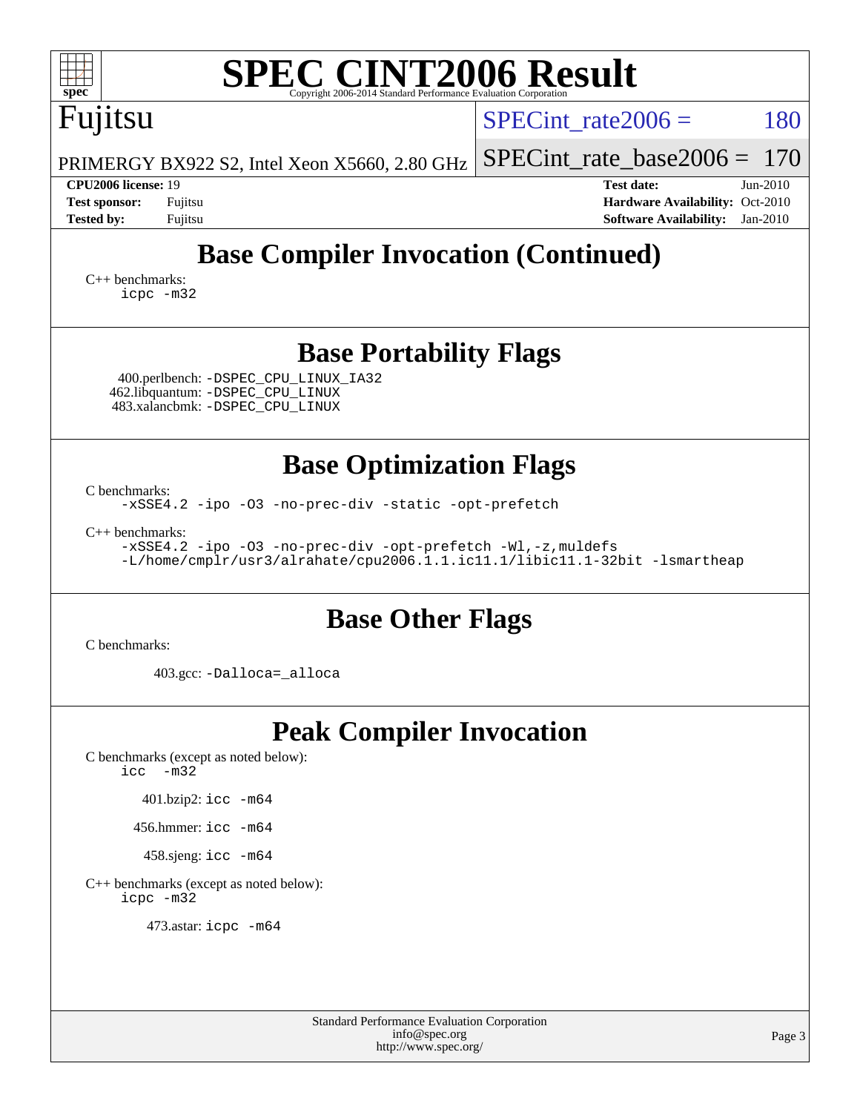| <b>SPEC CINT2006 Result</b><br>spec<br>Copyright 2006-2014 Standard Performance Evaluation Corporation                                                             |                                                                                                                 |  |  |  |  |  |  |  |  |
|--------------------------------------------------------------------------------------------------------------------------------------------------------------------|-----------------------------------------------------------------------------------------------------------------|--|--|--|--|--|--|--|--|
| Fujitsu                                                                                                                                                            | 180<br>$SPECint rate 2006 =$                                                                                    |  |  |  |  |  |  |  |  |
| PRIMERGY BX922 S2, Intel Xeon X5660, 2.80 GHz                                                                                                                      | $SPECint_rate_base2006 =$<br>170                                                                                |  |  |  |  |  |  |  |  |
| CPU2006 license: 19<br><b>Test sponsor:</b><br>Fujitsu<br>Fujitsu<br><b>Tested by:</b>                                                                             | <b>Test date:</b><br>Jun-2010<br>Hardware Availability: Oct-2010<br><b>Software Availability:</b><br>$Jan-2010$ |  |  |  |  |  |  |  |  |
| <b>Base Compiler Invocation (Continued)</b><br>$C_{++}$ benchmarks:<br>icpc -m32                                                                                   |                                                                                                                 |  |  |  |  |  |  |  |  |
| <b>Base Portability Flags</b><br>400.perlbench: - DSPEC_CPU_LINUX_IA32<br>462.libquantum: -DSPEC_CPU_LINUX<br>483.xalancbmk: - DSPEC CPU LINUX                     |                                                                                                                 |  |  |  |  |  |  |  |  |
| <b>Base Optimization Flags</b><br>C benchmarks:                                                                                                                    |                                                                                                                 |  |  |  |  |  |  |  |  |
| -xSSE4.2 -ipo -03 -no-prec-div -static -opt-prefetch                                                                                                               |                                                                                                                 |  |  |  |  |  |  |  |  |
| $C_{++}$ benchmarks:<br>-xSSE4.2 -ipo -03 -no-prec-div -opt-prefetch -Wl,-z, muldefs<br>-L/home/cmplr/usr3/alrahate/cpu2006.1.1.ic11.1/libic11.1-32bit -lsmartheap |                                                                                                                 |  |  |  |  |  |  |  |  |
| <b>Base Other Flags</b>                                                                                                                                            |                                                                                                                 |  |  |  |  |  |  |  |  |
| C benchmarks:<br>403.gcc: -Dalloca=_alloca                                                                                                                         |                                                                                                                 |  |  |  |  |  |  |  |  |
| <b>Peak Compiler Invocation</b><br>C benchmarks (except as noted below):<br>$-m32$<br>icc                                                                          |                                                                                                                 |  |  |  |  |  |  |  |  |
| 401.bzip2: icc -m64                                                                                                                                                |                                                                                                                 |  |  |  |  |  |  |  |  |
| 456.hmmer: $\text{icc}$ -m64                                                                                                                                       |                                                                                                                 |  |  |  |  |  |  |  |  |
| 458.sjeng: icc -m64                                                                                                                                                |                                                                                                                 |  |  |  |  |  |  |  |  |
| C++ benchmarks (except as noted below):<br>icpc -m32                                                                                                               |                                                                                                                 |  |  |  |  |  |  |  |  |
| 473.astar: icpc -m64                                                                                                                                               |                                                                                                                 |  |  |  |  |  |  |  |  |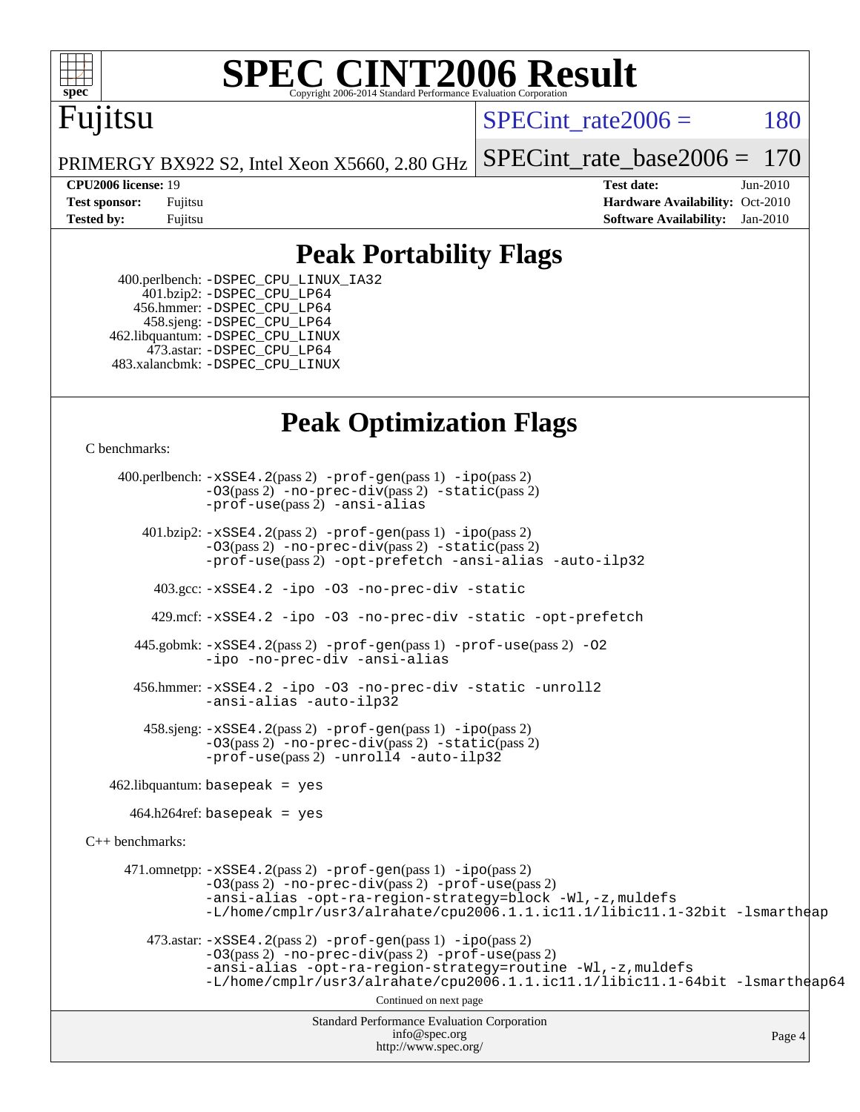

# **[SPEC CINT2006 Result](http://www.spec.org/auto/cpu2006/Docs/result-fields.html#SPECCINT2006Result)**

# Fujitsu

SPECint rate $2006 = 180$ 

[SPECint\\_rate\\_base2006 =](http://www.spec.org/auto/cpu2006/Docs/result-fields.html#SPECintratebase2006) 170

PRIMERGY BX922 S2, Intel Xeon X5660, 2.80 GHz

**[CPU2006 license:](http://www.spec.org/auto/cpu2006/Docs/result-fields.html#CPU2006license)** 19 **[Test date:](http://www.spec.org/auto/cpu2006/Docs/result-fields.html#Testdate)** Jun-2010 **[Test sponsor:](http://www.spec.org/auto/cpu2006/Docs/result-fields.html#Testsponsor)** Fujitsu **[Hardware Availability:](http://www.spec.org/auto/cpu2006/Docs/result-fields.html#HardwareAvailability)** Oct-2010 **[Tested by:](http://www.spec.org/auto/cpu2006/Docs/result-fields.html#Testedby)** Fujitsu **[Software Availability:](http://www.spec.org/auto/cpu2006/Docs/result-fields.html#SoftwareAvailability)** Jan-2010

### **[Peak Portability Flags](http://www.spec.org/auto/cpu2006/Docs/result-fields.html#PeakPortabilityFlags)**

 400.perlbench: [-DSPEC\\_CPU\\_LINUX\\_IA32](http://www.spec.org/cpu2006/results/res2010q3/cpu2006-20100702-12122.flags.html#b400.perlbench_peakCPORTABILITY_DSPEC_CPU_LINUX_IA32) 401.bzip2: [-DSPEC\\_CPU\\_LP64](http://www.spec.org/cpu2006/results/res2010q3/cpu2006-20100702-12122.flags.html#suite_peakCPORTABILITY401_bzip2_DSPEC_CPU_LP64) 456.hmmer: [-DSPEC\\_CPU\\_LP64](http://www.spec.org/cpu2006/results/res2010q3/cpu2006-20100702-12122.flags.html#suite_peakCPORTABILITY456_hmmer_DSPEC_CPU_LP64) 458.sjeng: [-DSPEC\\_CPU\\_LP64](http://www.spec.org/cpu2006/results/res2010q3/cpu2006-20100702-12122.flags.html#suite_peakCPORTABILITY458_sjeng_DSPEC_CPU_LP64) 462.libquantum: [-DSPEC\\_CPU\\_LINUX](http://www.spec.org/cpu2006/results/res2010q3/cpu2006-20100702-12122.flags.html#b462.libquantum_peakCPORTABILITY_DSPEC_CPU_LINUX) 473.astar: [-DSPEC\\_CPU\\_LP64](http://www.spec.org/cpu2006/results/res2010q3/cpu2006-20100702-12122.flags.html#suite_peakCXXPORTABILITY473_astar_DSPEC_CPU_LP64) 483.xalancbmk: [-DSPEC\\_CPU\\_LINUX](http://www.spec.org/cpu2006/results/res2010q3/cpu2006-20100702-12122.flags.html#b483.xalancbmk_peakCXXPORTABILITY_DSPEC_CPU_LINUX)

### **[Peak Optimization Flags](http://www.spec.org/auto/cpu2006/Docs/result-fields.html#PeakOptimizationFlags)**

[C benchmarks](http://www.spec.org/auto/cpu2006/Docs/result-fields.html#Cbenchmarks):

Standard Performance Evaluation Corporation [info@spec.org](mailto:info@spec.org) <http://www.spec.org/> Page 4 400.perlbench: [-xSSE4.2](http://www.spec.org/cpu2006/results/res2010q3/cpu2006-20100702-12122.flags.html#user_peakPASS2_CFLAGSPASS2_LDCFLAGS400_perlbench_f-xSSE42_f91528193cf0b216347adb8b939d4107)(pass 2) [-prof-gen](http://www.spec.org/cpu2006/results/res2010q3/cpu2006-20100702-12122.flags.html#user_peakPASS1_CFLAGSPASS1_LDCFLAGS400_perlbench_prof_gen_e43856698f6ca7b7e442dfd80e94a8fc)(pass 1) [-ipo](http://www.spec.org/cpu2006/results/res2010q3/cpu2006-20100702-12122.flags.html#user_peakPASS2_CFLAGSPASS2_LDCFLAGS400_perlbench_f-ipo)(pass 2) [-O3](http://www.spec.org/cpu2006/results/res2010q3/cpu2006-20100702-12122.flags.html#user_peakPASS2_CFLAGSPASS2_LDCFLAGS400_perlbench_f-O3)(pass 2) [-no-prec-div](http://www.spec.org/cpu2006/results/res2010q3/cpu2006-20100702-12122.flags.html#user_peakPASS2_CFLAGSPASS2_LDCFLAGS400_perlbench_f-no-prec-div)(pass 2) [-static](http://www.spec.org/cpu2006/results/res2010q3/cpu2006-20100702-12122.flags.html#user_peakPASS2_CFLAGSPASS2_LDCFLAGS400_perlbench_f-static)(pass 2) [-prof-use](http://www.spec.org/cpu2006/results/res2010q3/cpu2006-20100702-12122.flags.html#user_peakPASS2_CFLAGSPASS2_LDCFLAGS400_perlbench_prof_use_bccf7792157ff70d64e32fe3e1250b55)(pass 2) [-ansi-alias](http://www.spec.org/cpu2006/results/res2010q3/cpu2006-20100702-12122.flags.html#user_peakCOPTIMIZE400_perlbench_f-ansi-alias) 401.bzip2: [-xSSE4.2](http://www.spec.org/cpu2006/results/res2010q3/cpu2006-20100702-12122.flags.html#user_peakPASS2_CFLAGSPASS2_LDCFLAGS401_bzip2_f-xSSE42_f91528193cf0b216347adb8b939d4107)(pass 2) [-prof-gen](http://www.spec.org/cpu2006/results/res2010q3/cpu2006-20100702-12122.flags.html#user_peakPASS1_CFLAGSPASS1_LDCFLAGS401_bzip2_prof_gen_e43856698f6ca7b7e442dfd80e94a8fc)(pass 1) [-ipo](http://www.spec.org/cpu2006/results/res2010q3/cpu2006-20100702-12122.flags.html#user_peakPASS2_CFLAGSPASS2_LDCFLAGS401_bzip2_f-ipo)(pass 2) [-O3](http://www.spec.org/cpu2006/results/res2010q3/cpu2006-20100702-12122.flags.html#user_peakPASS2_CFLAGSPASS2_LDCFLAGS401_bzip2_f-O3)(pass 2) [-no-prec-div](http://www.spec.org/cpu2006/results/res2010q3/cpu2006-20100702-12122.flags.html#user_peakPASS2_CFLAGSPASS2_LDCFLAGS401_bzip2_f-no-prec-div)(pass 2) [-static](http://www.spec.org/cpu2006/results/res2010q3/cpu2006-20100702-12122.flags.html#user_peakPASS2_CFLAGSPASS2_LDCFLAGS401_bzip2_f-static)(pass 2) [-prof-use](http://www.spec.org/cpu2006/results/res2010q3/cpu2006-20100702-12122.flags.html#user_peakPASS2_CFLAGSPASS2_LDCFLAGS401_bzip2_prof_use_bccf7792157ff70d64e32fe3e1250b55)(pass 2) [-opt-prefetch](http://www.spec.org/cpu2006/results/res2010q3/cpu2006-20100702-12122.flags.html#user_peakCOPTIMIZE401_bzip2_f-opt-prefetch) [-ansi-alias](http://www.spec.org/cpu2006/results/res2010q3/cpu2006-20100702-12122.flags.html#user_peakCOPTIMIZE401_bzip2_f-ansi-alias) [-auto-ilp32](http://www.spec.org/cpu2006/results/res2010q3/cpu2006-20100702-12122.flags.html#user_peakCOPTIMIZE401_bzip2_f-auto-ilp32) 403.gcc: [-xSSE4.2](http://www.spec.org/cpu2006/results/res2010q3/cpu2006-20100702-12122.flags.html#user_peakCOPTIMIZE403_gcc_f-xSSE42_f91528193cf0b216347adb8b939d4107) [-ipo](http://www.spec.org/cpu2006/results/res2010q3/cpu2006-20100702-12122.flags.html#user_peakCOPTIMIZE403_gcc_f-ipo) [-O3](http://www.spec.org/cpu2006/results/res2010q3/cpu2006-20100702-12122.flags.html#user_peakCOPTIMIZE403_gcc_f-O3) [-no-prec-div](http://www.spec.org/cpu2006/results/res2010q3/cpu2006-20100702-12122.flags.html#user_peakCOPTIMIZE403_gcc_f-no-prec-div) [-static](http://www.spec.org/cpu2006/results/res2010q3/cpu2006-20100702-12122.flags.html#user_peakCOPTIMIZE403_gcc_f-static) 429.mcf: [-xSSE4.2](http://www.spec.org/cpu2006/results/res2010q3/cpu2006-20100702-12122.flags.html#user_peakCOPTIMIZE429_mcf_f-xSSE42_f91528193cf0b216347adb8b939d4107) [-ipo](http://www.spec.org/cpu2006/results/res2010q3/cpu2006-20100702-12122.flags.html#user_peakCOPTIMIZE429_mcf_f-ipo) [-O3](http://www.spec.org/cpu2006/results/res2010q3/cpu2006-20100702-12122.flags.html#user_peakCOPTIMIZE429_mcf_f-O3) [-no-prec-div](http://www.spec.org/cpu2006/results/res2010q3/cpu2006-20100702-12122.flags.html#user_peakCOPTIMIZE429_mcf_f-no-prec-div) [-static](http://www.spec.org/cpu2006/results/res2010q3/cpu2006-20100702-12122.flags.html#user_peakCOPTIMIZE429_mcf_f-static) [-opt-prefetch](http://www.spec.org/cpu2006/results/res2010q3/cpu2006-20100702-12122.flags.html#user_peakCOPTIMIZE429_mcf_f-opt-prefetch) 445.gobmk: [-xSSE4.2](http://www.spec.org/cpu2006/results/res2010q3/cpu2006-20100702-12122.flags.html#user_peakPASS2_CFLAGSPASS2_LDCFLAGS445_gobmk_f-xSSE42_f91528193cf0b216347adb8b939d4107)(pass 2) [-prof-gen](http://www.spec.org/cpu2006/results/res2010q3/cpu2006-20100702-12122.flags.html#user_peakPASS1_CFLAGSPASS1_LDCFLAGS445_gobmk_prof_gen_e43856698f6ca7b7e442dfd80e94a8fc)(pass 1) [-prof-use](http://www.spec.org/cpu2006/results/res2010q3/cpu2006-20100702-12122.flags.html#user_peakPASS2_CFLAGSPASS2_LDCFLAGS445_gobmk_prof_use_bccf7792157ff70d64e32fe3e1250b55)(pass 2) [-O2](http://www.spec.org/cpu2006/results/res2010q3/cpu2006-20100702-12122.flags.html#user_peakCOPTIMIZE445_gobmk_f-O2) [-ipo](http://www.spec.org/cpu2006/results/res2010q3/cpu2006-20100702-12122.flags.html#user_peakCOPTIMIZE445_gobmk_f-ipo) [-no-prec-div](http://www.spec.org/cpu2006/results/res2010q3/cpu2006-20100702-12122.flags.html#user_peakCOPTIMIZE445_gobmk_f-no-prec-div) [-ansi-alias](http://www.spec.org/cpu2006/results/res2010q3/cpu2006-20100702-12122.flags.html#user_peakCOPTIMIZE445_gobmk_f-ansi-alias) 456.hmmer: [-xSSE4.2](http://www.spec.org/cpu2006/results/res2010q3/cpu2006-20100702-12122.flags.html#user_peakCOPTIMIZE456_hmmer_f-xSSE42_f91528193cf0b216347adb8b939d4107) [-ipo](http://www.spec.org/cpu2006/results/res2010q3/cpu2006-20100702-12122.flags.html#user_peakCOPTIMIZE456_hmmer_f-ipo) [-O3](http://www.spec.org/cpu2006/results/res2010q3/cpu2006-20100702-12122.flags.html#user_peakCOPTIMIZE456_hmmer_f-O3) [-no-prec-div](http://www.spec.org/cpu2006/results/res2010q3/cpu2006-20100702-12122.flags.html#user_peakCOPTIMIZE456_hmmer_f-no-prec-div) [-static](http://www.spec.org/cpu2006/results/res2010q3/cpu2006-20100702-12122.flags.html#user_peakCOPTIMIZE456_hmmer_f-static) [-unroll2](http://www.spec.org/cpu2006/results/res2010q3/cpu2006-20100702-12122.flags.html#user_peakCOPTIMIZE456_hmmer_f-unroll_784dae83bebfb236979b41d2422d7ec2) [-ansi-alias](http://www.spec.org/cpu2006/results/res2010q3/cpu2006-20100702-12122.flags.html#user_peakCOPTIMIZE456_hmmer_f-ansi-alias) [-auto-ilp32](http://www.spec.org/cpu2006/results/res2010q3/cpu2006-20100702-12122.flags.html#user_peakCOPTIMIZE456_hmmer_f-auto-ilp32) 458.sjeng: [-xSSE4.2](http://www.spec.org/cpu2006/results/res2010q3/cpu2006-20100702-12122.flags.html#user_peakPASS2_CFLAGSPASS2_LDCFLAGS458_sjeng_f-xSSE42_f91528193cf0b216347adb8b939d4107)(pass 2) [-prof-gen](http://www.spec.org/cpu2006/results/res2010q3/cpu2006-20100702-12122.flags.html#user_peakPASS1_CFLAGSPASS1_LDCFLAGS458_sjeng_prof_gen_e43856698f6ca7b7e442dfd80e94a8fc)(pass 1) [-ipo](http://www.spec.org/cpu2006/results/res2010q3/cpu2006-20100702-12122.flags.html#user_peakPASS2_CFLAGSPASS2_LDCFLAGS458_sjeng_f-ipo)(pass 2) [-O3](http://www.spec.org/cpu2006/results/res2010q3/cpu2006-20100702-12122.flags.html#user_peakPASS2_CFLAGSPASS2_LDCFLAGS458_sjeng_f-O3)(pass 2) [-no-prec-div](http://www.spec.org/cpu2006/results/res2010q3/cpu2006-20100702-12122.flags.html#user_peakPASS2_CFLAGSPASS2_LDCFLAGS458_sjeng_f-no-prec-div)(pass 2) [-static](http://www.spec.org/cpu2006/results/res2010q3/cpu2006-20100702-12122.flags.html#user_peakPASS2_CFLAGSPASS2_LDCFLAGS458_sjeng_f-static)(pass 2) [-prof-use](http://www.spec.org/cpu2006/results/res2010q3/cpu2006-20100702-12122.flags.html#user_peakPASS2_CFLAGSPASS2_LDCFLAGS458_sjeng_prof_use_bccf7792157ff70d64e32fe3e1250b55)(pass 2) [-unroll4](http://www.spec.org/cpu2006/results/res2010q3/cpu2006-20100702-12122.flags.html#user_peakCOPTIMIZE458_sjeng_f-unroll_4e5e4ed65b7fd20bdcd365bec371b81f) [-auto-ilp32](http://www.spec.org/cpu2006/results/res2010q3/cpu2006-20100702-12122.flags.html#user_peakCOPTIMIZE458_sjeng_f-auto-ilp32)  $462$ .libquantum: basepeak = yes  $464.h264$ ref: basepeak = yes [C++ benchmarks:](http://www.spec.org/auto/cpu2006/Docs/result-fields.html#CXXbenchmarks) 471.omnetpp: [-xSSE4.2](http://www.spec.org/cpu2006/results/res2010q3/cpu2006-20100702-12122.flags.html#user_peakPASS2_CXXFLAGSPASS2_LDCXXFLAGS471_omnetpp_f-xSSE42_f91528193cf0b216347adb8b939d4107)(pass 2) [-prof-gen](http://www.spec.org/cpu2006/results/res2010q3/cpu2006-20100702-12122.flags.html#user_peakPASS1_CXXFLAGSPASS1_LDCXXFLAGS471_omnetpp_prof_gen_e43856698f6ca7b7e442dfd80e94a8fc)(pass 1) [-ipo](http://www.spec.org/cpu2006/results/res2010q3/cpu2006-20100702-12122.flags.html#user_peakPASS2_CXXFLAGSPASS2_LDCXXFLAGS471_omnetpp_f-ipo)(pass 2) [-O3](http://www.spec.org/cpu2006/results/res2010q3/cpu2006-20100702-12122.flags.html#user_peakPASS2_CXXFLAGSPASS2_LDCXXFLAGS471_omnetpp_f-O3)(pass 2) [-no-prec-div](http://www.spec.org/cpu2006/results/res2010q3/cpu2006-20100702-12122.flags.html#user_peakPASS2_CXXFLAGSPASS2_LDCXXFLAGS471_omnetpp_f-no-prec-div)(pass 2) [-prof-use](http://www.spec.org/cpu2006/results/res2010q3/cpu2006-20100702-12122.flags.html#user_peakPASS2_CXXFLAGSPASS2_LDCXXFLAGS471_omnetpp_prof_use_bccf7792157ff70d64e32fe3e1250b55)(pass 2) [-ansi-alias](http://www.spec.org/cpu2006/results/res2010q3/cpu2006-20100702-12122.flags.html#user_peakCXXOPTIMIZE471_omnetpp_f-ansi-alias) [-opt-ra-region-strategy=block](http://www.spec.org/cpu2006/results/res2010q3/cpu2006-20100702-12122.flags.html#user_peakCXXOPTIMIZE471_omnetpp_f-opt-ra-region-strategy-block_a0a37c372d03933b2a18d4af463c1f69) [-Wl,-z,muldefs](http://www.spec.org/cpu2006/results/res2010q3/cpu2006-20100702-12122.flags.html#user_peakEXTRA_LDFLAGS471_omnetpp_link_force_multiple1_74079c344b956b9658436fd1b6dd3a8a) [-L/home/cmplr/usr3/alrahate/cpu2006.1.1.ic11.1/libic11.1-32bit -lsmartheap](http://www.spec.org/cpu2006/results/res2010q3/cpu2006-20100702-12122.flags.html#user_peakEXTRA_LIBS471_omnetpp_SmartHeap_d86dffe4a79b79ef8890d5cce17030c3) 473.astar: [-xSSE4.2](http://www.spec.org/cpu2006/results/res2010q3/cpu2006-20100702-12122.flags.html#user_peakPASS2_CXXFLAGSPASS2_LDCXXFLAGS473_astar_f-xSSE42_f91528193cf0b216347adb8b939d4107)(pass 2) [-prof-gen](http://www.spec.org/cpu2006/results/res2010q3/cpu2006-20100702-12122.flags.html#user_peakPASS1_CXXFLAGSPASS1_LDCXXFLAGS473_astar_prof_gen_e43856698f6ca7b7e442dfd80e94a8fc)(pass 1) [-ipo](http://www.spec.org/cpu2006/results/res2010q3/cpu2006-20100702-12122.flags.html#user_peakPASS2_CXXFLAGSPASS2_LDCXXFLAGS473_astar_f-ipo)(pass 2) [-O3](http://www.spec.org/cpu2006/results/res2010q3/cpu2006-20100702-12122.flags.html#user_peakPASS2_CXXFLAGSPASS2_LDCXXFLAGS473_astar_f-O3)(pass 2) [-no-prec-div](http://www.spec.org/cpu2006/results/res2010q3/cpu2006-20100702-12122.flags.html#user_peakPASS2_CXXFLAGSPASS2_LDCXXFLAGS473_astar_f-no-prec-div)(pass 2) [-prof-use](http://www.spec.org/cpu2006/results/res2010q3/cpu2006-20100702-12122.flags.html#user_peakPASS2_CXXFLAGSPASS2_LDCXXFLAGS473_astar_prof_use_bccf7792157ff70d64e32fe3e1250b55)(pass 2) [-ansi-alias](http://www.spec.org/cpu2006/results/res2010q3/cpu2006-20100702-12122.flags.html#user_peakCXXOPTIMIZE473_astar_f-ansi-alias) [-opt-ra-region-strategy=routine](http://www.spec.org/cpu2006/results/res2010q3/cpu2006-20100702-12122.flags.html#user_peakCXXOPTIMIZE473_astar_f-opt-ra-region-strategy-routine_ba086ea3b1d46a52e1238e2ca173ed44) [-Wl,-z,muldefs](http://www.spec.org/cpu2006/results/res2010q3/cpu2006-20100702-12122.flags.html#user_peakEXTRA_LDFLAGS473_astar_link_force_multiple1_74079c344b956b9658436fd1b6dd3a8a) [-L/home/cmplr/usr3/alrahate/cpu2006.1.1.ic11.1/libic11.1-64bit -lsmartheap64](http://www.spec.org/cpu2006/results/res2010q3/cpu2006-20100702-12122.flags.html#user_peakEXTRA_LIBS473_astar_SmartHeap64_e2306cda84805d1ab360117a79ff779c) Continued on next page